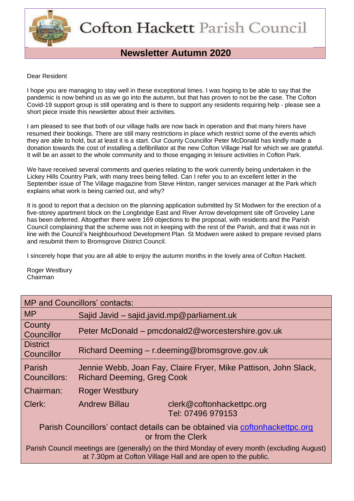

# **Newsletter Autumn 2020**

#### Dear Resident

I hope you are managing to stay well in these exceptional times. I was hoping to be able to say that the pandemic is now behind us as we go into the autumn, but that has proven to not be the case. The Cofton Covid-19 support group is still operating and is there to support any residents requiring help - please see a short piece inside this newsletter about their activities.

I am pleased to see that both of our village halls are now back in operation and that many hirers have resumed their bookings. There are still many restrictions in place which restrict some of the events which they are able to hold, but at least it is a start. Our County Councillor Peter McDonald has kindly made a donation towards the cost of installing a defibrillator at the new Cofton Village Hall for which we are grateful. It will be an asset to the whole community and to those engaging in leisure activities in Cofton Park.

We have received several comments and queries relating to the work currently being undertaken in the Lickey Hills Country Park, with many trees being felled. Can I refer you to an excellent letter in the September issue of The Village magazine from Steve Hinton, ranger services manager at the Park which explains what work is being carried out, and why?

It is good to report that a decision on the planning application submitted by St Modwen for the erection of a five-storey apartment block on the Longbridge East and River Arrow development site off Groveley Lane has been deferred. Altogether there were 169 objections to the proposal, with residents and the Parish Council complaining that the scheme was not in keeping with the rest of the Parish, and that it was not in line with the Council's Neighbourhood Development Plan. St Modwen were asked to prepare revised plans and resubmit them to Bromsgrove District Council.

I sincerely hope that you are all able to enjoy the autumn months in the lovely area of Cofton Hackett.

Roger Westbury Chairman

| <b>MP and Councillors' contacts:</b>                                                                                                                          |                                                                                                      |  |  |  |  |  |
|---------------------------------------------------------------------------------------------------------------------------------------------------------------|------------------------------------------------------------------------------------------------------|--|--|--|--|--|
| <b>MP</b>                                                                                                                                                     | Sajid Javid - sajid.javid.mp@parliament.uk                                                           |  |  |  |  |  |
| County<br>Councillor                                                                                                                                          | Peter McDonald – pmcdonald2@worcestershire.gov.uk                                                    |  |  |  |  |  |
| <b>District</b><br>Councillor                                                                                                                                 | Richard Deeming – r.deeming@bromsgrove.gov.uk                                                        |  |  |  |  |  |
| Parish<br>Councillors:                                                                                                                                        | Jennie Webb, Joan Fay, Claire Fryer, Mike Pattison, John Slack,<br><b>Richard Deeming, Greg Cook</b> |  |  |  |  |  |
| Chairman:                                                                                                                                                     | <b>Roger Westbury</b>                                                                                |  |  |  |  |  |
| Clerk:                                                                                                                                                        | <b>Andrew Billau</b><br>clerk@coftonhackettpc.org<br>Tel: 07496 979153                               |  |  |  |  |  |
| Parish Councillors' contact details can be obtained via coftonhackettpc.org<br>or from the Clerk                                                              |                                                                                                      |  |  |  |  |  |
| Parish Council meetings are (generally) on the third Monday of every month (excluding August)<br>at 7.30pm at Cofton Village Hall and are open to the public. |                                                                                                      |  |  |  |  |  |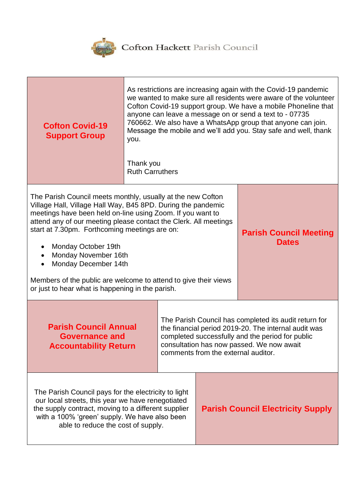

| <b>Cofton Covid-19</b><br><b>Support Group</b>                                                                                                                                                                                                                                                                                                                                                                                                                                                               | As restrictions are increasing again with the Covid-19 pandemic<br>we wanted to make sure all residents were aware of the volunteer<br>Cofton Covid-19 support group. We have a mobile Phoneline that<br>anyone can leave a message on or send a text to - 07735<br>760662. We also have a WhatsApp group that anyone can join.<br>Message the mobile and we'll add you. Stay safe and well, thank<br>you.<br>Thank you<br><b>Ruth Carruthers</b> |                                                                                                                                                                                                                                                       |  |                                               |
|--------------------------------------------------------------------------------------------------------------------------------------------------------------------------------------------------------------------------------------------------------------------------------------------------------------------------------------------------------------------------------------------------------------------------------------------------------------------------------------------------------------|---------------------------------------------------------------------------------------------------------------------------------------------------------------------------------------------------------------------------------------------------------------------------------------------------------------------------------------------------------------------------------------------------------------------------------------------------|-------------------------------------------------------------------------------------------------------------------------------------------------------------------------------------------------------------------------------------------------------|--|-----------------------------------------------|
| The Parish Council meets monthly, usually at the new Cofton<br>Village Hall, Village Hall Way, B45 8PD. During the pandemic<br>meetings have been held on-line using Zoom. If you want to<br>attend any of our meeting please contact the Clerk. All meetings<br>start at 7.30pm. Forthcoming meetings are on:<br>Monday October 19th<br>Monday November 16th<br>Monday December 14th<br>Members of the public are welcome to attend to give their views<br>or just to hear what is happening in the parish. |                                                                                                                                                                                                                                                                                                                                                                                                                                                   |                                                                                                                                                                                                                                                       |  | <b>Parish Council Meeting</b><br><b>Dates</b> |
| <b>Parish Council Annual</b><br><b>Governance and</b><br><b>Accountability Return</b>                                                                                                                                                                                                                                                                                                                                                                                                                        |                                                                                                                                                                                                                                                                                                                                                                                                                                                   | The Parish Council has completed its audit return for<br>the financial period 2019-20. The internal audit was<br>completed successfully and the period for public<br>consultation has now passed. We now await<br>comments from the external auditor. |  |                                               |
| The Parish Council pays for the electricity to light<br>our local streets, this year we have renegotiated<br>the supply contract, moving to a different supplier<br>with a 100% 'green' supply. We have also been<br>able to reduce the cost of supply.                                                                                                                                                                                                                                                      |                                                                                                                                                                                                                                                                                                                                                                                                                                                   |                                                                                                                                                                                                                                                       |  | <b>Parish Council Electricity Supply</b>      |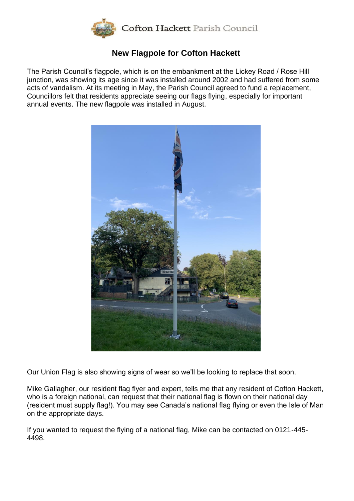

### **New Flagpole for Cofton Hackett**

The Parish Council's flagpole, which is on the embankment at the Lickey Road / Rose Hill junction, was showing its age since it was installed around 2002 and had suffered from some acts of vandalism. At its meeting in May, the Parish Council agreed to fund a replacement, Councillors felt that residents appreciate seeing our flags flying, especially for important annual events. The new flagpole was installed in August.



Our Union Flag is also showing signs of wear so we'll be looking to replace that soon.

Mike Gallagher, our resident flag flyer and expert, tells me that any resident of Cofton Hackett, who is a foreign national, can request that their national flag is flown on their national day (resident must supply flag!). You may see Canada's national flag flying or even the Isle of Man on the appropriate days.

If you wanted to request the flying of a national flag, Mike can be contacted on 0121-445- 4498.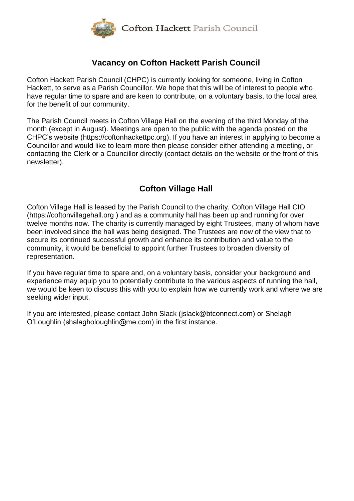

# **Vacancy on Cofton Hackett Parish Council**

Cofton Hackett Parish Council (CHPC) is currently looking for someone, living in Cofton Hackett, to serve as a Parish Councillor. We hope that this will be of interest to people who have regular time to spare and are keen to contribute, on a voluntary basis, to the local area for the benefit of our community.

The Parish Council meets in Cofton Village Hall on the evening of the third Monday of the month (except in August). Meetings are open to the public with the agenda posted on the CHPC's website [\(https://coftonhackettpc.org\)](https://coftonhackettpc.org/). If you have an interest in applying to become a Councillor and would like to learn more then please consider either attending a meeting, or contacting the Clerk or a Councillor directly (contact details on the website or the front of this newsletter).

# **Cofton Village Hall**

Cofton Village Hall is leased by the Parish Council to the charity, Cofton Village Hall CIO [\(https://coftonvillagehall.org](https://coftonvillagehall.org/) ) and as a community hall has been up and running for over twelve months now. The charity is currently managed by eight Trustees, many of whom have been involved since the hall was being designed. The Trustees are now of the view that to secure its continued successful growth and enhance its contribution and value to the community, it would be beneficial to appoint further Trustees to broaden diversity of representation.

If you have regular time to spare and, on a voluntary basis, consider your background and experience may equip you to potentially contribute to the various aspects of running the hall, we would be keen to discuss this with you to explain how we currently work and where we are seeking wider input.

If you are interested, please contact John Slack [\(jslack@btconnect.com\)](mailto:jslack@btconnect.com) or Shelagh O'Loughlin (shalagholoughlin@me.com) in the first instance.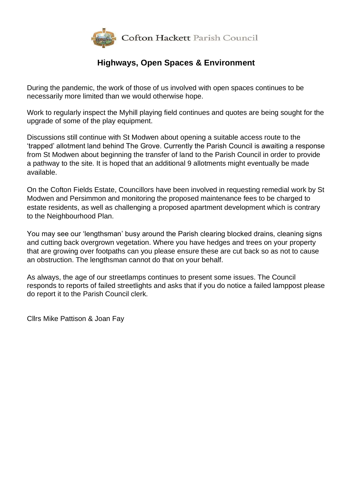

### **Highways, Open Spaces & Environment**

During the pandemic, the work of those of us involved with open spaces continues to be necessarily more limited than we would otherwise hope.

Work to regularly inspect the Myhill playing field continues and quotes are being sought for the upgrade of some of the play equipment.

Discussions still continue with St Modwen about opening a suitable access route to the 'trapped' allotment land behind The Grove. Currently the Parish Council is awaiting a response from St Modwen about beginning the transfer of land to the Parish Council in order to provide a pathway to the site. It is hoped that an additional 9 allotments might eventually be made available.

On the Cofton Fields Estate, Councillors have been involved in requesting remedial work by St Modwen and Persimmon and monitoring the proposed maintenance fees to be charged to estate residents, as well as challenging a proposed apartment development which is contrary to the Neighbourhood Plan.

You may see our 'lengthsman' busy around the Parish clearing blocked drains, cleaning signs and cutting back overgrown vegetation. Where you have hedges and trees on your property that are growing over footpaths can you please ensure these are cut back so as not to cause an obstruction. The lengthsman cannot do that on your behalf.

As always, the age of our streetlamps continues to present some issues. The Council responds to reports of failed streetlights and asks that if you do notice a failed lamppost please do report it to the Parish Council clerk.

Cllrs Mike Pattison & Joan Fay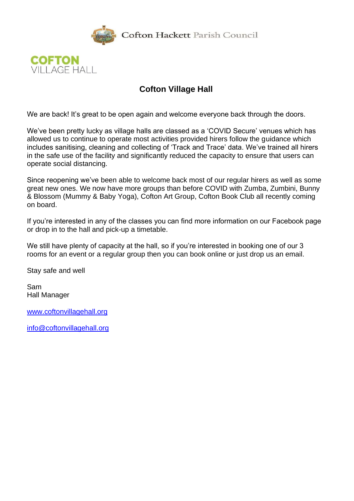

Cofton Hackett Parish Council



# **Cofton Village Hall**

We are back! It's great to be open again and welcome everyone back through the doors.

We've been pretty lucky as village halls are classed as a 'COVID Secure' venues which has allowed us to continue to operate most activities provided hirers follow the guidance which includes sanitising, cleaning and collecting of 'Track and Trace' data. We've trained all hirers in the safe use of the facility and significantly reduced the capacity to ensure that users can operate social distancing.

Since reopening we've been able to welcome back most of our regular hirers as well as some great new ones. We now have more groups than before COVID with Zumba, Zumbini, Bunny & Blossom (Mummy & Baby Yoga), Cofton Art Group, Cofton Book Club all recently coming on board.

If you're interested in any of the classes you can find more information on our Facebook page or drop in to the hall and pick-up a timetable.

We still have plenty of capacity at the hall, so if you're interested in booking one of our 3 rooms for an event or a regular group then you can book online or just drop us an email.

Stay safe and well

Sam Hall Manager

[www.coftonvillagehall.org](http://www.coftonvillagehall.org/)

[info@coftonvillagehall.org](mailto:info@coftonvillagehall.org)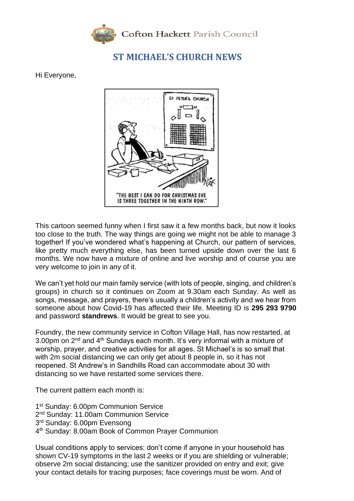

# **ST MICHAEL'S CHURCH NEWS**

Hi Everyone,



This cartoon seemed funny when I first saw it a few months back, but now it looks too close to the truth. The way things are going we might not be able to manage 3 together! If you've wondered what's happening at Church, our pattern of services, like pretty much everything else, has been turned upside down over the last 6 months. We now have a mixture of online and live worship and of course you are very welcome to join in any of it.

We can't yet hold our main family service (with lots of people, singing, and children's groups) in church so it continues on Zoom at 9.30am each Sunday. As well as songs, message, and prayers, there's usually a children's activity and we hear from someone about how Covid-19 has affected their life. Meeting ID is **295 293 9790** and password **standrews**. It would be great to see you.

Foundry, the new community service in Cofton Village Hall, has now restarted, at 3.00pm on  $2^{nd}$  and  $4^{th}$  Sundays each month. It's very informal with a mixture of worship, prayer, and creative activities for all ages. St Michael's is so small that with 2m social distancing we can only get about 8 people in, so it has not reopened. St Andrew's in Sandhills Road can accommodate about 30 with distancing so we have restarted some services there.

The current pattern each month is:

- 1<sup>st</sup> Sunday: 6.00pm Communion Service
- 2<sup>nd</sup> Sunday: 11.00am Communion Service
- 3<sup>rd</sup> Sunday: 6.00pm Evensong
- 4 th Sunday: 8.00am Book of Common Prayer Communion

Usual conditions apply to services: don't come if anyone in your household has shown CV-19 symptoms in the last 2 weeks or if you are shielding or vulnerable; observe 2m social distancing; use the sanitizer provided on entry and exit; give your contact details for tracing purposes; face coverings must be worn. And of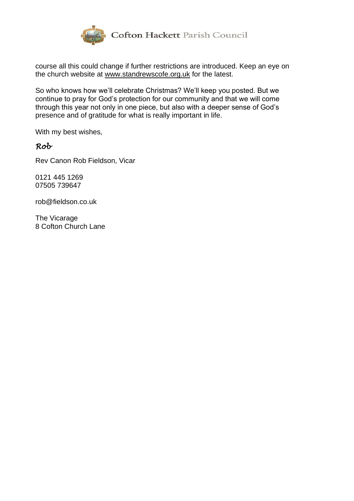

course all this could change if further restrictions are introduced. Keep an eye on the church website at www.standrewscofe.org.uk for the latest.

So who knows how we'll celebrate Christmas? We'll keep you posted. But we continue to pray for God's protection for our community and that we will come through this year not only in one piece, but also with a deeper sense of God's presence and of gratitude for what is really important in life.

With my best wishes,

#### *Rob*

Rev Canon Rob Fieldson, Vicar

0121 445 1269 07505 739647

[rob@fieldson.co.uk](mailto:rob@fieldson.co.uk)

The Vicarage 8 Cofton Church Lane